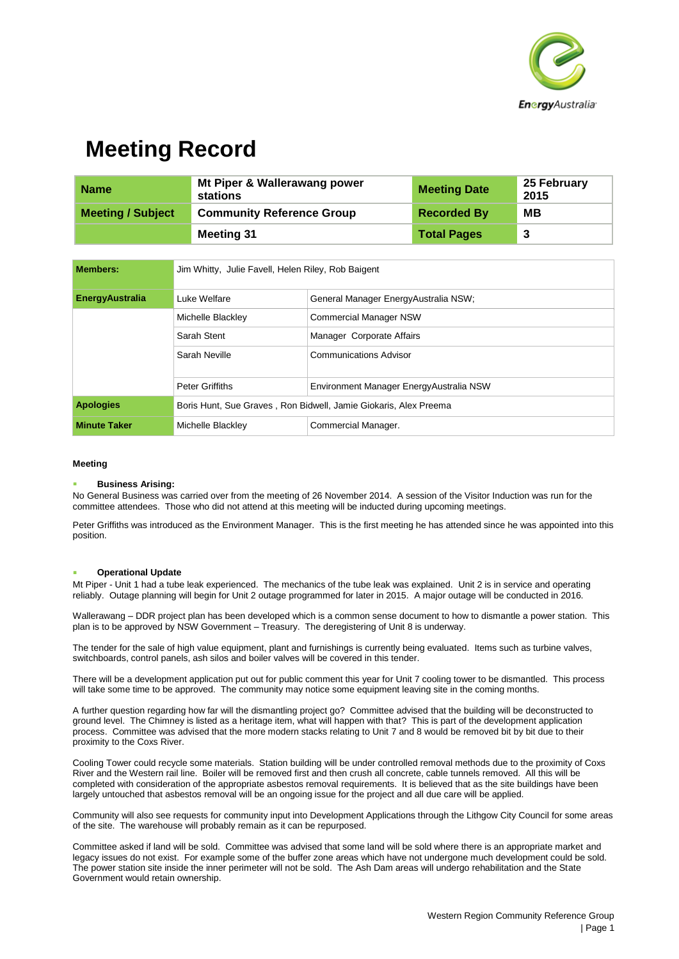

## **Meeting Record**

| <b>Name</b>              | Mt Piper & Wallerawang power<br>stations | <b>Meeting Date</b> | 25 February<br>2015 |
|--------------------------|------------------------------------------|---------------------|---------------------|
| <b>Meeting / Subject</b> | <b>Community Reference Group</b>         | <b>Recorded By</b>  | MВ                  |
|                          | Meeting 31                               | <b>Total Pages</b>  | -3                  |

| <b>Members:</b>        | Jim Whitty, Julie Favell, Helen Riley, Rob Baigent               |                                          |  |
|------------------------|------------------------------------------------------------------|------------------------------------------|--|
| <b>EnergyAustralia</b> | Luke Welfare                                                     | General Manager EnergyAustralia NSW;     |  |
|                        | Michelle Blackley                                                | <b>Commercial Manager NSW</b>            |  |
|                        | Sarah Stent                                                      | Manager Corporate Affairs                |  |
|                        | Sarah Neville                                                    | <b>Communications Advisor</b>            |  |
|                        | <b>Peter Griffiths</b>                                           | Environment Manager Energy Australia NSW |  |
| <b>Apologies</b>       | Boris Hunt, Sue Graves, Ron Bidwell, Jamie Giokaris, Alex Preema |                                          |  |
| <b>Minute Taker</b>    | Michelle Blackley                                                | Commercial Manager.                      |  |

#### **Meeting**

#### **Business Arising:**

No General Business was carried over from the meeting of 26 November 2014. A session of the Visitor Induction was run for the committee attendees. Those who did not attend at this meeting will be inducted during upcoming meetings.

Peter Griffiths was introduced as the Environment Manager. This is the first meeting he has attended since he was appointed into this position.

### **Operational Update**

Mt Piper - Unit 1 had a tube leak experienced. The mechanics of the tube leak was explained. Unit 2 is in service and operating reliably. Outage planning will begin for Unit 2 outage programmed for later in 2015. A major outage will be conducted in 2016.

Wallerawang – DDR project plan has been developed which is a common sense document to how to dismantle a power station. This plan is to be approved by NSW Government – Treasury. The deregistering of Unit 8 is underway.

The tender for the sale of high value equipment, plant and furnishings is currently being evaluated. Items such as turbine valves, switchboards, control panels, ash silos and boiler valves will be covered in this tender.

There will be a development application put out for public comment this year for Unit 7 cooling tower to be dismantled. This process will take some time to be approved. The community may notice some equipment leaving site in the coming months.

A further question regarding how far will the dismantling project go? Committee advised that the building will be deconstructed to ground level. The Chimney is listed as a heritage item, what will happen with that? This is part of the development application process. Committee was advised that the more modern stacks relating to Unit 7 and 8 would be removed bit by bit due to their proximity to the Coxs River.

Cooling Tower could recycle some materials. Station building will be under controlled removal methods due to the proximity of Coxs River and the Western rail line. Boiler will be removed first and then crush all concrete, cable tunnels removed. All this will be completed with consideration of the appropriate asbestos removal requirements. It is believed that as the site buildings have been largely untouched that asbestos removal will be an ongoing issue for the project and all due care will be applied.

Community will also see requests for community input into Development Applications through the Lithgow City Council for some areas of the site. The warehouse will probably remain as it can be repurposed.

Committee asked if land will be sold. Committee was advised that some land will be sold where there is an appropriate market and legacy issues do not exist. For example some of the buffer zone areas which have not undergone much development could be sold. The power station site inside the inner perimeter will not be sold. The Ash Dam areas will undergo rehabilitation and the State Government would retain ownership.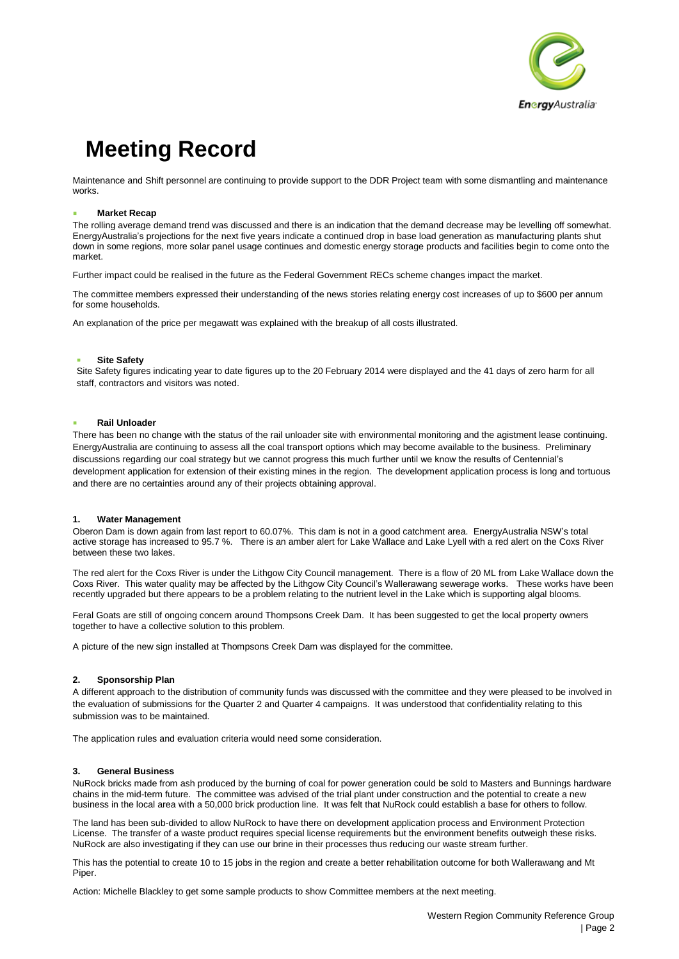

# **Meeting Record**

Maintenance and Shift personnel are continuing to provide support to the DDR Project team with some dismantling and maintenance works.

### **Market Recap**

The rolling average demand trend was discussed and there is an indication that the demand decrease may be levelling off somewhat. EnergyAustralia's projections for the next five years indicate a continued drop in base load generation as manufacturing plants shut down in some regions, more solar panel usage continues and domestic energy storage products and facilities begin to come onto the market.

Further impact could be realised in the future as the Federal Government RECs scheme changes impact the market.

The committee members expressed their understanding of the news stories relating energy cost increases of up to \$600 per annum for some households.

An explanation of the price per megawatt was explained with the breakup of all costs illustrated.

### **Site Safety**

Site Safety figures indicating year to date figures up to the 20 February 2014 were displayed and the 41 days of zero harm for all staff, contractors and visitors was noted.

### **Rail Unloader**

There has been no change with the status of the rail unloader site with environmental monitoring and the agistment lease continuing. EnergyAustralia are continuing to assess all the coal transport options which may become available to the business. Preliminary discussions regarding our coal strategy but we cannot progress this much further until we know the results of Centennial's development application for extension of their existing mines in the region. The development application process is long and tortuous and there are no certainties around any of their projects obtaining approval.

### **1. Water Management**

Oberon Dam is down again from last report to 60.07%. This dam is not in a good catchment area. EnergyAustralia NSW's total active storage has increased to 95.7 %. There is an amber alert for Lake Wallace and Lake Lyell with a red alert on the Coxs River between these two lakes.

The red alert for the Coxs River is under the Lithgow City Council management. There is a flow of 20 ML from Lake Wallace down the Coxs River. This water quality may be affected by the Lithgow City Council's Wallerawang sewerage works. These works have been recently upgraded but there appears to be a problem relating to the nutrient level in the Lake which is supporting algal blooms.

Feral Goats are still of ongoing concern around Thompsons Creek Dam. It has been suggested to get the local property owners together to have a collective solution to this problem.

A picture of the new sign installed at Thompsons Creek Dam was displayed for the committee.

### **2. Sponsorship Plan**

A different approach to the distribution of community funds was discussed with the committee and they were pleased to be involved in the evaluation of submissions for the Quarter 2 and Quarter 4 campaigns. It was understood that confidentiality relating to this submission was to be maintained.

The application rules and evaluation criteria would need some consideration.

### **3. General Business**

NuRock bricks made from ash produced by the burning of coal for power generation could be sold to Masters and Bunnings hardware chains in the mid-term future. The committee was advised of the trial plant under construction and the potential to create a new business in the local area with a 50,000 brick production line. It was felt that NuRock could establish a base for others to follow.

The land has been sub-divided to allow NuRock to have there on development application process and Environment Protection License. The transfer of a waste product requires special license requirements but the environment benefits outweigh these risks. NuRock are also investigating if they can use our brine in their processes thus reducing our waste stream further.

This has the potential to create 10 to 15 jobs in the region and create a better rehabilitation outcome for both Wallerawang and Mt Piper.

Action: Michelle Blackley to get some sample products to show Committee members at the next meeting.